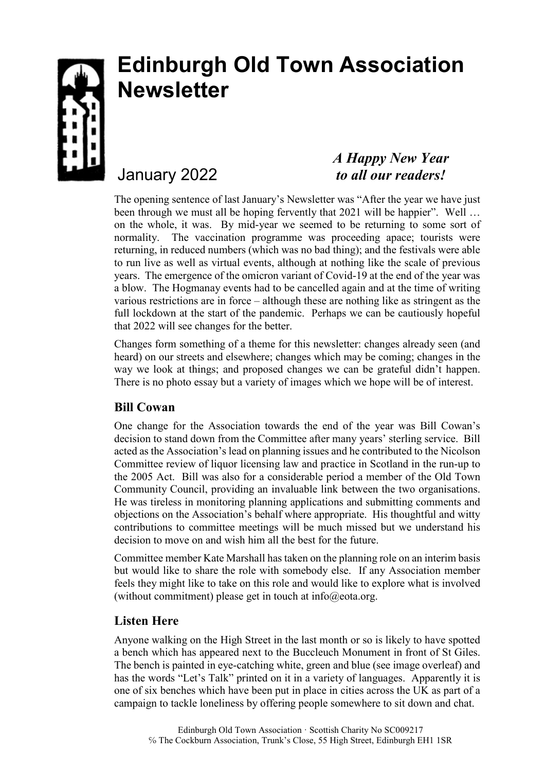

# **Edinburgh Old Town Association Newsletter**

## January 2022

## *A Happy New Year to all our readers!*

The opening sentence of last January's Newsletter was "After the year we have just been through we must all be hoping fervently that 2021 will be happier". Well ... on the whole, it was. By mid-year we seemed to be returning to some sort of normality. The vaccination programme was proceeding apace; tourists were returning, in reduced numbers (which was no bad thing); and the festivals were able to run live as well as virtual events, although at nothing like the scale of previous years. The emergence of the omicron variant of Covid-19 at the end of the year was a blow. The Hogmanay events had to be cancelled again and at the time of writing various restrictions are in force – although these are nothing like as stringent as the full lockdown at the start of the pandemic. Perhaps we can be cautiously hopeful that 2022 will see changes for the better.

Changes form something of a theme for this newsletter: changes already seen (and heard) on our streets and elsewhere; changes which may be coming; changes in the way we look at things; and proposed changes we can be grateful didn't happen. There is no photo essay but a variety of images which we hope will be of interest.

## **Bill Cowan**

One change for the Association towards the end of the year was Bill Cowan's decision to stand down from the Committee after many years' sterling service. Bill acted as the Association's lead on planning issues and he contributed to the Nicolson Committee review of liquor licensing law and practice in Scotland in the run-up to the 2005 Act. Bill was also for a considerable period a member of the Old Town Community Council, providing an invaluable link between the two organisations. He was tireless in monitoring planning applications and submitting comments and objections on the Association's behalf where appropriate. His thoughtful and witty contributions to committee meetings will be much missed but we understand his decision to move on and wish him all the best for the future.

Committee member Kate Marshall has taken on the planning role on an interim basis but would like to share the role with somebody else. If any Association member feels they might like to take on this role and would like to explore what is involved (without commitment) please get in touch at  $info@eota.org$ .

#### **Listen Here**

Anyone walking on the High Street in the last month or so is likely to have spotted a bench which has appeared next to the Buccleuch Monument in front of St Giles. The bench is painted in eye-catching white, green and blue (see image overleaf) and has the words "Let's Talk" printed on it in a variety of languages. Apparently it is one of six benches which have been put in place in cities across the UK as part of a campaign to tackle loneliness by offering people somewhere to sit down and chat.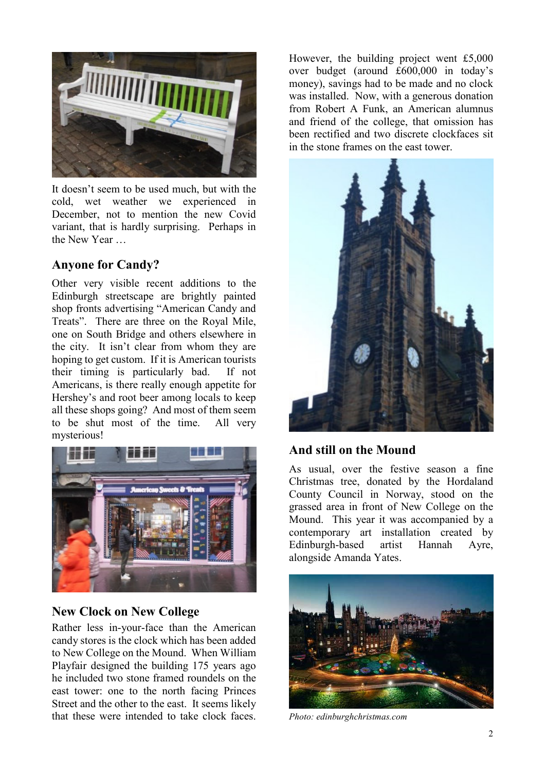

It doesn't seem to be used much, but with the cold, wet weather we experienced in December, not to mention the new Covid variant, that is hardly surprising. Perhaps in the New Year …

#### **Anyone for Candy?**

Other very visible recent additions to the Edinburgh streetscape are brightly painted shop fronts advertising "American Candy and Treats". There are three on the Royal Mile, one on South Bridge and others elsewhere in the city. It isn't clear from whom they are hoping to get custom. If it is American tourists their timing is particularly bad. If not Americans, is there really enough appetite for Hershey's and root beer among locals to keep all these shops going? And most of them seem to be shut most of the time. All very mysterious!



#### **New Clock on New College**

Rather less in-your-face than the American candy stores is the clock which has been added to New College on the Mound. When William Playfair designed the building 175 years ago he included two stone framed roundels on the east tower: one to the north facing Princes Street and the other to the east. It seems likely that these were intended to take clock faces. However, the building project went £5,000 over budget (around £600,000 in today's money), savings had to be made and no clock was installed. Now, with a generous donation from Robert A Funk, an American alumnus and friend of the college, that omission has been rectified and two discrete clockfaces sit in the stone frames on the east tower.



## **And still on the Mound**

As usual, over the festive season a fine Christmas tree, donated by the Hordaland County Council in Norway, stood on the grassed area in front of New College on the Mound. This year it was accompanied by a contemporary art installation created by Edinburgh-based artist Hannah Ayre, alongside Amanda Yates.



*Photo: edinburghchristmas.com*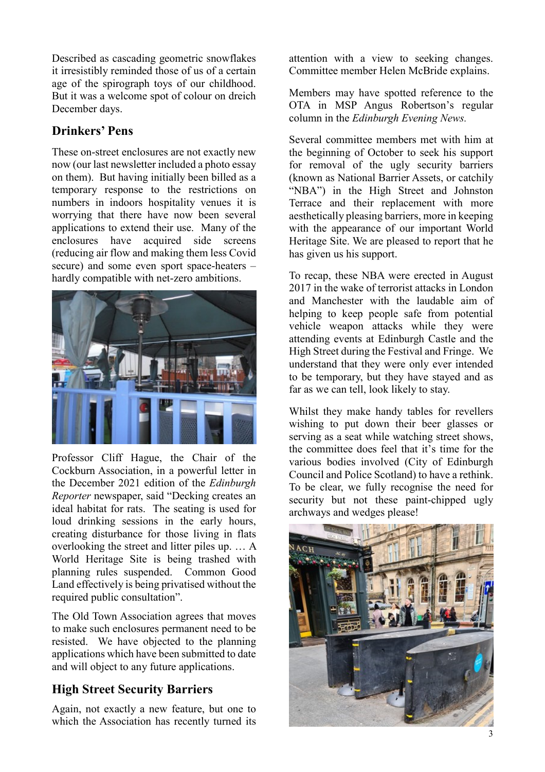Described as cascading geometric snowflakes it irresistibly reminded those of us of a certain age of the spirograph toys of our childhood. But it was a welcome spot of colour on dreich December days.

## **Drinkers' Pens**

These on-street enclosures are not exactly new now (our last newsletter included a photo essay on them). But having initially been billed as a temporary response to the restrictions on numbers in indoors hospitality venues it is worrying that there have now been several applications to extend their use. Many of the enclosures have acquired side screens (reducing air flow and making them less Covid secure) and some even sport space-heaters – hardly compatible with net-zero ambitions.



Professor Cliff Hague, the Chair of the Cockburn Association, in a powerful letter in the December 2021 edition of the *Edinburgh Reporter* newspaper, said "Decking creates an ideal habitat for rats. The seating is used for loud drinking sessions in the early hours, creating disturbance for those living in flats overlooking the street and litter piles up. … A World Heritage Site is being trashed with planning rules suspended. Common Good Land effectively is being privatised without the required public consultation".

The Old Town Association agrees that moves to make such enclosures permanent need to be resisted. We have objected to the planning applications which have been submitted to date and will object to any future applications.

## **High Street Security Barriers**

Again, not exactly a new feature, but one to which the Association has recently turned its attention with a view to seeking changes. Committee member Helen McBride explains.

Members may have spotted reference to the OTA in MSP Angus Robertson's regular column in the *Edinburgh Evening News.* 

Several committee members met with him at the beginning of October to seek his support for removal of the ugly security barriers (known as National Barrier Assets, or catchily "NBA") in the High Street and Johnston Terrace and their replacement with more aesthetically pleasing barriers, more in keeping with the appearance of our important World Heritage Site. We are pleased to report that he has given us his support.

To recap, these NBA were erected in August 2017 in the wake of terrorist attacks in London and Manchester with the laudable aim of helping to keep people safe from potential vehicle weapon attacks while they were attending events at Edinburgh Castle and the High Street during the Festival and Fringe. We understand that they were only ever intended to be temporary, but they have stayed and as far as we can tell, look likely to stay.

Whilst they make handy tables for revellers wishing to put down their beer glasses or serving as a seat while watching street shows, the committee does feel that it's time for the various bodies involved (City of Edinburgh Council and Police Scotland) to have a rethink. To be clear, we fully recognise the need for security but not these paint-chipped ugly archways and wedges please!

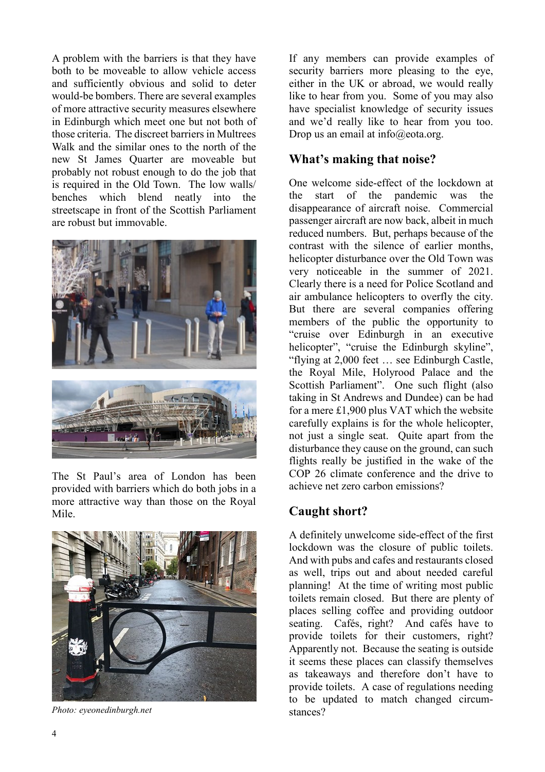A problem with the barriers is that they have both to be moveable to allow vehicle access and sufficiently obvious and solid to deter would-be bombers. There are several examples of more attractive security measures elsewhere in Edinburgh which meet one but not both of those criteria. The discreet barriers in Multrees Walk and the similar ones to the north of the new St James Quarter are moveable but probably not robust enough to do the job that is required in the Old Town. The low walls/ benches which blend neatly into the streetscape in front of the Scottish Parliament are robust but immovable.



The St Paul's area of London has been provided with barriers which do both jobs in a more attractive way than those on the Royal Mile.



*Photo: eyeonedinburgh.net* 

If any members can provide examples of security barriers more pleasing to the eye, either in the UK or abroad, we would really like to hear from you. Some of you may also have specialist knowledge of security issues and we'd really like to hear from you too. Drop us an email at  $info@eota.org$ .

#### **What's making that noise?**

One welcome side-effect of the lockdown at the start of the pandemic was the disappearance of aircraft noise. Commercial passenger aircraft are now back, albeit in much reduced numbers. But, perhaps because of the contrast with the silence of earlier months, helicopter disturbance over the Old Town was very noticeable in the summer of 2021. Clearly there is a need for Police Scotland and air ambulance helicopters to overfly the city. But there are several companies offering members of the public the opportunity to "cruise over Edinburgh in an executive helicopter", "cruise the Edinburgh skyline", "flying at 2,000 feet … see Edinburgh Castle, the Royal Mile, Holyrood Palace and the Scottish Parliament". One such flight (also taking in St Andrews and Dundee) can be had for a mere £1,900 plus VAT which the website carefully explains is for the whole helicopter, not just a single seat. Quite apart from the disturbance they cause on the ground, can such flights really be justified in the wake of the COP 26 climate conference and the drive to achieve net zero carbon emissions?

#### **Caught short?**

A definitely unwelcome side-effect of the first lockdown was the closure of public toilets. And with pubs and cafes and restaurants closed as well, trips out and about needed careful planning! At the time of writing most public toilets remain closed. But there are plenty of places selling coffee and providing outdoor seating. Cafés, right? And cafés have to provide toilets for their customers, right? Apparently not. Because the seating is outside it seems these places can classify themselves as takeaways and therefore don't have to provide toilets. A case of regulations needing to be updated to match changed circumstances?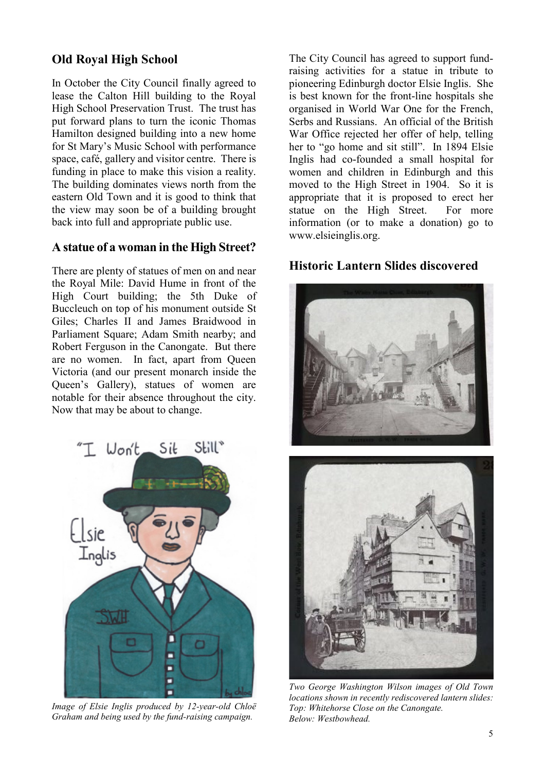## **Old Royal High School**

In October the City Council finally agreed to lease the Calton Hill building to the Royal High School Preservation Trust. The trust has put forward plans to turn the iconic Thomas Hamilton designed building into a new home for St Mary's Music School with performance space, café, gallery and visitor centre. There is funding in place to make this vision a reality. The building dominates views north from the eastern Old Town and it is good to think that the view may soon be of a building brought back into full and appropriate public use.

#### **A statue of a woman in the High Street?**

There are plenty of statues of men on and near the Royal Mile: David Hume in front of the High Court building; the 5th Duke of Buccleuch on top of his monument outside St Giles; Charles II and James Braidwood in Parliament Square; Adam Smith nearby; and Robert Ferguson in the Canongate. But there are no women. In fact, apart from Queen Victoria (and our present monarch inside the Queen's Gallery), statues of women are notable for their absence throughout the city. Now that may be about to change.

Won't Sit  $Still^*$ Inglis

*Image of Elsie Inglis produced by 12-year-old Chloë Graham and being used by the fund-raising campaign.*

The City Council has agreed to support fundraising activities for a statue in tribute to pioneering Edinburgh doctor Elsie Inglis. She is best known for the front-line hospitals she organised in World War One for the French, Serbs and Russians. An official of the British War Office rejected her offer of help, telling her to "go home and sit still". In 1894 Elsie Inglis had co-founded a small hospital for women and children in Edinburgh and this moved to the High Street in 1904. So it is appropriate that it is proposed to erect her statue on the High Street. For more information (or to make a donation) go to www.elsieinglis.org.

#### **Historic Lantern Slides discovered**



*locations shown in recently rediscovered lantern slides: Top: Whitehorse Close on the Canongate. Below: Westbowhead.*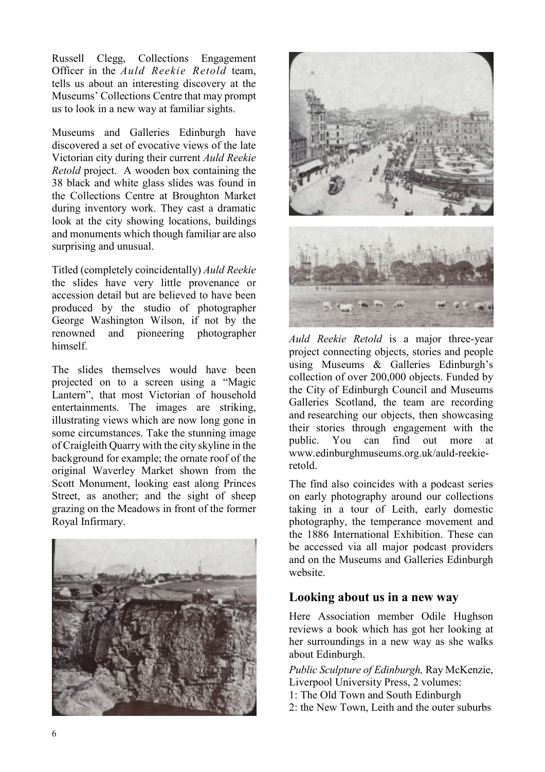Russell Clegg, Collections Engagement Officer in the *Auld Reekie Retold* team, tells us about an interesting discovery at the Museums' Collections Centre that may prompt us to look in a new way at familiar sights.

Museums and Galleries Edinburgh have discovered a set of evocative views of the late Victorian city during their current *Auld Reekie Retold* project. A wooden box containing the 38 black and white glass slides was found in the Collections Centre at Broughton Market during inventory work. They cast a dramatic look at the city showing locations, buildings and monuments which though familiar are also surprising and unusual.

Titled (completely coincidentally) *Auld Reekie* the slides have very little provenance or accession detail but are believed to have been produced by the studio of photographer George Washington Wilson, if not by the renowned and pioneering photographer himself.

The slides themselves would have been projected on to a screen using a "Magic Lantern", that most Victorian of household entertainments. The images are striking, illustrating views which are now long gone in some circumstances. Take the stunning image of Craigleith Quarry with the city skyline in the background for example; the ornate roof of the original Waverley Market shown from the Scott Monument, looking east along Princes Street, as another; and the sight of sheep grazing on the Meadows in front of the former Royal Infirmary.





*Auld Reekie Retold* is a major three-year project connecting objects, stories and people using Museums & Galleries Edinburgh's collection of over 200,000 objects. Funded by the City of Edinburgh Council and Museums Galleries Scotland, the team are recording and researching our objects, then showcasing their stories through engagement with the public. You can find out more at www.edinburghmuseums.org.uk/auld-reekieretold.

The find also coincides with a podcast series on early photography around our collections taking in a tour of Leith, early domestic photography, the temperance movement and the 1886 International Exhibition. These can be accessed via all major podcast providers and on the Museums and Galleries Edinburgh website.

#### **Looking about us in a new way**

Here Association member Odile Hughson reviews a book which has got her looking at her surroundings in a new way as she walks about Edinburgh.

*Public Sculpture of Edinburgh,* Ray McKenzie, Liverpool University Press, 2 volumes:

- 1: The Old Town and South Edinburgh
- 2: the New Town, Leith and the outer suburbs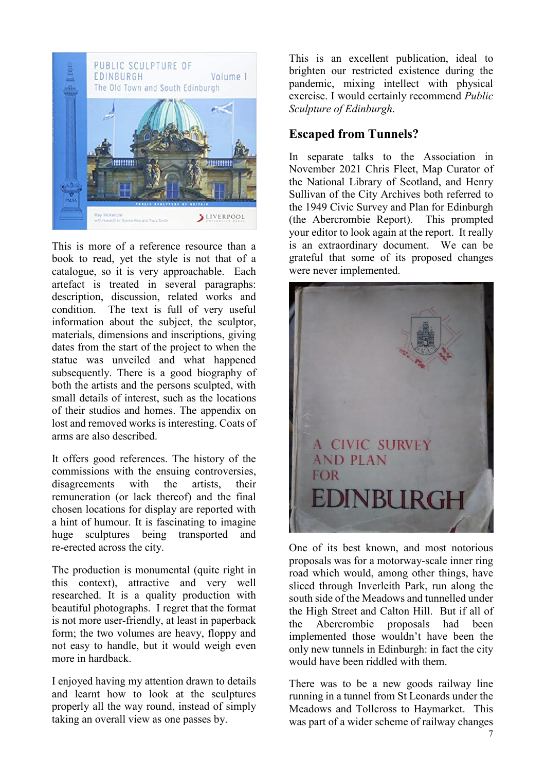

This is more of a reference resource than a book to read, yet the style is not that of a catalogue, so it is very approachable. Each artefact is treated in several paragraphs: description, discussion, related works and condition. The text is full of very useful information about the subject, the sculptor, materials, dimensions and inscriptions, giving dates from the start of the project to when the statue was unveiled and what happened subsequently. There is a good biography of both the artists and the persons sculpted, with small details of interest, such as the locations of their studios and homes. The appendix on lost and removed works is interesting. Coats of arms are also described.

It offers good references. The history of the commissions with the ensuing controversies, disagreements with the artists, their remuneration (or lack thereof) and the final chosen locations for display are reported with a hint of humour. It is fascinating to imagine huge sculptures being transported and re-erected across the city.

The production is monumental (quite right in this context), attractive and very well researched. It is a quality production with beautiful photographs. I regret that the format is not more user-friendly, at least in paperback form; the two volumes are heavy, floppy and not easy to handle, but it would weigh even more in hardback.

I enjoyed having my attention drawn to details and learnt how to look at the sculptures properly all the way round, instead of simply taking an overall view as one passes by.

This is an excellent publication, ideal to brighten our restricted existence during the pandemic, mixing intellect with physical exercise. I would certainly recommend *Public Sculpture of Edinburgh*.

#### **Escaped from Tunnels?**

In separate talks to the Association in November 2021 Chris Fleet, Map Curator of the National Library of Scotland, and Henry Sullivan of the City Archives both referred to the 1949 Civic Survey and Plan for Edinburgh (the Abercrombie Report). This prompted your editor to look again at the report. It really is an extraordinary document. We can be grateful that some of its proposed changes were never implemented.



One of its best known, and most notorious proposals was for a motorway-scale inner ring road which would, among other things, have sliced through Inverleith Park, run along the south side of the Meadows and tunnelled under the High Street and Calton Hill. But if all of the Abercrombie proposals had been implemented those wouldn't have been the only new tunnels in Edinburgh: in fact the city would have been riddled with them.

There was to be a new goods railway line running in a tunnel from St Leonards under the Meadows and Tollcross to Haymarket. This was part of a wider scheme of railway changes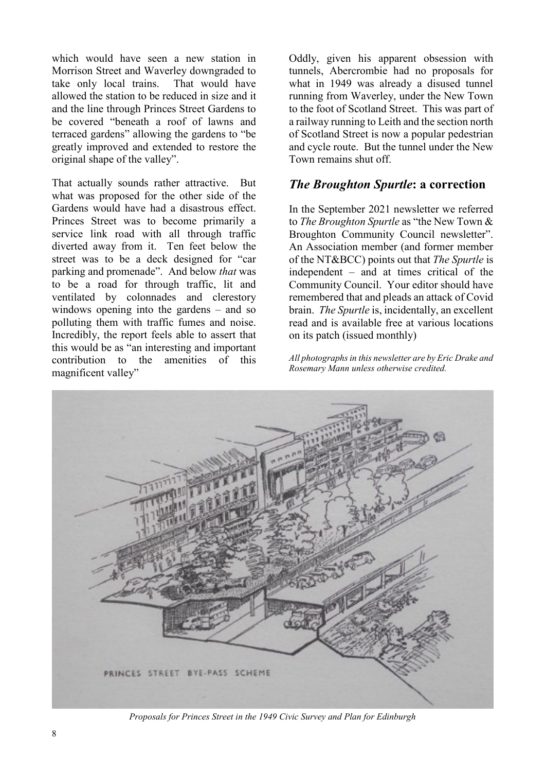which would have seen a new station in Morrison Street and Waverley downgraded to take only local trains. That would have allowed the station to be reduced in size and it and the line through Princes Street Gardens to be covered "beneath a roof of lawns and terraced gardens" allowing the gardens to "be greatly improved and extended to restore the original shape of the valley".

That actually sounds rather attractive. But what was proposed for the other side of the Gardens would have had a disastrous effect. Princes Street was to become primarily a service link road with all through traffic diverted away from it. Ten feet below the street was to be a deck designed for "car parking and promenade". And below *that* was to be a road for through traffic, lit and ventilated by colonnades and clerestory windows opening into the gardens – and so polluting them with traffic fumes and noise. Incredibly, the report feels able to assert that this would be as "an interesting and important contribution to the amenities of this magnificent valley"

Oddly, given his apparent obsession with tunnels, Abercrombie had no proposals for what in 1949 was already a disused tunnel running from Waverley, under the New Town to the foot of Scotland Street. This was part of a railway running to Leith and the section north of Scotland Street is now a popular pedestrian and cycle route. But the tunnel under the New Town remains shut off.

#### *The Broughton Spurtle***: a correction**

In the September 2021 newsletter we referred to *The Broughton Spurtle* as "the New Town & Broughton Community Council newsletter". An Association member (and former member of the NT&BCC) points out that *The Spurtle* is independent – and at times critical of the Community Council. Your editor should have remembered that and pleads an attack of Covid brain. *The Spurtle* is, incidentally, an excellent read and is available free at various locations on its patch (issued monthly)

*All photographs in this newsletter are by Eric Drake and Rosemary Mann unless otherwise credited.* 



*Proposals for Princes Street in the 1949 Civic Survey and Plan for Edinburgh*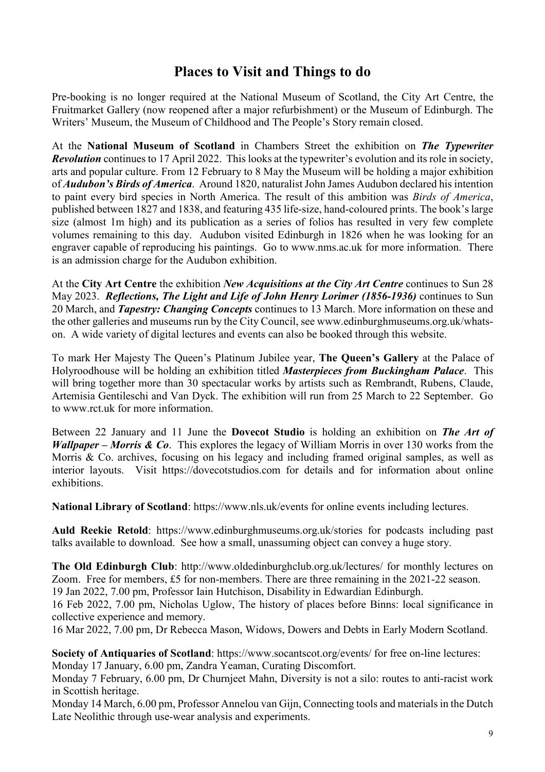## **Places to Visit and Things to do**

Pre-booking is no longer required at the National Museum of Scotland, the City Art Centre, the Fruitmarket Gallery (now reopened after a major refurbishment) or the Museum of Edinburgh. The Writers' Museum, the Museum of Childhood and The People's Story remain closed.

At the **National Museum of Scotland** in Chambers Street the exhibition on *The Typewriter Revolution* continues to 17 April 2022. This looks at the typewriter's evolution and its role in society, arts and popular culture. From 12 February to 8 May the Museum will be holding a major exhibition of *Audubon's Birds of America*. Around 1820, naturalist John James Audubon declared his intention to paint every bird species in North America. The result of this ambition was *Birds of America*, published between 1827 and 1838, and featuring 435 life-size, hand-coloured prints. The book's large size (almost 1m high) and its publication as a series of folios has resulted in very few complete volumes remaining to this day. Audubon visited Edinburgh in 1826 when he was looking for an engraver capable of reproducing his paintings. Go to www.nms.ac.uk for more information. There is an admission charge for the Audubon exhibition.

At the **City Art Centre** the exhibition *New Acquisitions at the City Art Centre* continues to Sun 28 May 2023. *Reflections, The Light and Life of John Henry Lorimer (1856-1936)* continues to Sun 20 March, and *Tapestry: Changing Concepts* continues to 13 March. More information on these and the other galleries and museums run by the City Council, see www.edinburghmuseums.org.uk/whatson. A wide variety of digital lectures and events can also be booked through this website.

To mark Her Majesty The Queen's Platinum Jubilee year, **The Queen's Gallery** at the Palace of Holyroodhouse will be holding an exhibition titled *Masterpieces from Buckingham Palace*. This will bring together more than 30 spectacular works by artists such as Rembrandt, Rubens, Claude, Artemisia Gentileschi and Van Dyck. The exhibition will run from 25 March to 22 September. Go to www.rct.uk for more information.

Between 22 January and 11 June the **Dovecot Studio** is holding an exhibition on *The Art of Wallpaper – Morris & Co*. This explores the legacy of William Morris in over 130 works from the Morris & Co. archives, focusing on his legacy and including framed original samples, as well as interior layouts. Visit https://dovecotstudios.com for details and for information about online exhibitions.

**National Library of Scotland**: https://www.nls.uk/events for online events including lectures.

**Auld Reekie Retold**: https://www.edinburghmuseums.org.uk/stories for podcasts including past talks available to download. See how a small, unassuming object can convey a huge story.

**The Old Edinburgh Club**: http://www.oldedinburghclub.org.uk/lectures/ for monthly lectures on Zoom. Free for members, £5 for non-members. There are three remaining in the 2021-22 season. 19 Jan 2022, 7.00 pm, Professor Iain Hutchison, Disability in Edwardian Edinburgh.

16 Feb 2022, 7.00 pm, Nicholas Uglow, The history of places before Binns: local significance in collective experience and memory.

16 Mar 2022, 7.00 pm, Dr Rebecca Mason, Widows, Dowers and Debts in Early Modern Scotland.

**Society of Antiquaries of Scotland**: https://www.socantscot.org/events/ for free on-line lectures: Monday 17 January, 6.00 pm, Zandra Yeaman, Curating Discomfort.

Monday 7 February, 6.00 pm, Dr Churnjeet Mahn, Diversity is not a silo: routes to anti-racist work in Scottish heritage.

Monday 14 March, 6.00 pm, Professor Annelou van Gijn, Connecting tools and materials in the Dutch Late Neolithic through use-wear analysis and experiments.